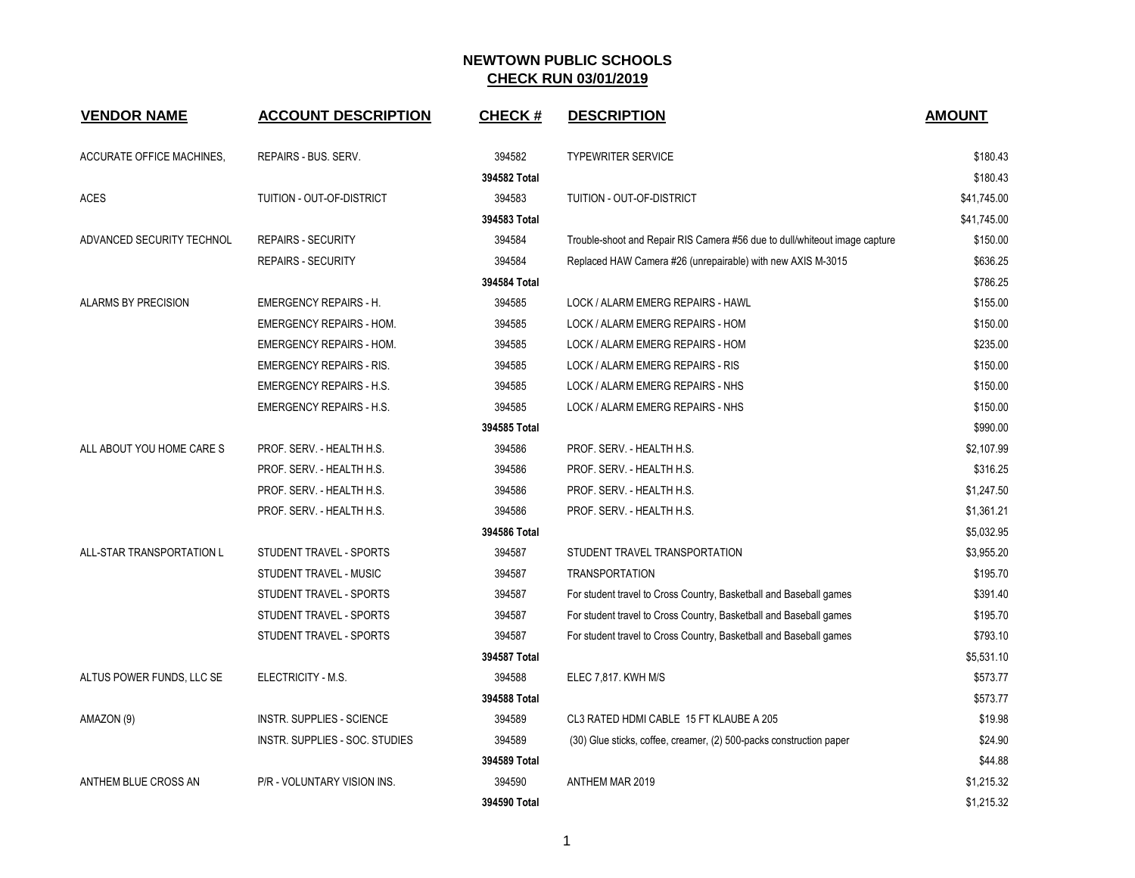| <b>VENDOR NAME</b>         | <b>ACCOUNT DESCRIPTION</b>      | <b>CHECK#</b> | <b>DESCRIPTION</b>                                                         | <b>AMOUNT</b> |
|----------------------------|---------------------------------|---------------|----------------------------------------------------------------------------|---------------|
| ACCURATE OFFICE MACHINES,  | REPAIRS - BUS. SERV.            | 394582        | <b>TYPEWRITER SERVICE</b>                                                  | \$180.43      |
|                            |                                 | 394582 Total  |                                                                            | \$180.43      |
| <b>ACES</b>                | TUITION - OUT-OF-DISTRICT       | 394583        | TUITION - OUT-OF-DISTRICT                                                  | \$41,745.00   |
|                            |                                 | 394583 Total  |                                                                            | \$41,745.00   |
| ADVANCED SECURITY TECHNOL  | <b>REPAIRS - SECURITY</b>       | 394584        | Trouble-shoot and Repair RIS Camera #56 due to dull/whiteout image capture | \$150.00      |
|                            | <b>REPAIRS - SECURITY</b>       | 394584        | Replaced HAW Camera #26 (unrepairable) with new AXIS M-3015                | \$636.25      |
|                            |                                 | 394584 Total  |                                                                            | \$786.25      |
| <b>ALARMS BY PRECISION</b> | <b>EMERGENCY REPAIRS - H.</b>   | 394585        | LOCK / ALARM EMERG REPAIRS - HAWL                                          | \$155.00      |
|                            | <b>EMERGENCY REPAIRS - HOM.</b> | 394585        | LOCK / ALARM EMERG REPAIRS - HOM                                           | \$150.00      |
|                            | <b>EMERGENCY REPAIRS - HOM.</b> | 394585        | LOCK / ALARM EMERG REPAIRS - HOM                                           | \$235.00      |
|                            | <b>EMERGENCY REPAIRS - RIS.</b> | 394585        | LOCK / ALARM EMERG REPAIRS - RIS                                           | \$150.00      |
|                            | <b>EMERGENCY REPAIRS - H.S.</b> | 394585        | LOCK / ALARM EMERG REPAIRS - NHS                                           | \$150.00      |
|                            | <b>EMERGENCY REPAIRS - H.S.</b> | 394585        | LOCK / ALARM EMERG REPAIRS - NHS                                           | \$150.00      |
|                            |                                 | 394585 Total  |                                                                            | \$990.00      |
| ALL ABOUT YOU HOME CARE S  | PROF. SERV. - HEALTH H.S.       | 394586        | PROF. SERV. - HEALTH H.S.                                                  | \$2,107.99    |
|                            | PROF. SERV. - HEALTH H.S.       | 394586        | PROF. SERV. - HEALTH H.S.                                                  | \$316.25      |
|                            | PROF. SERV. - HEALTH H.S.       | 394586        | PROF. SERV. - HEALTH H.S.                                                  | \$1,247.50    |
|                            | PROF. SERV. - HEALTH H.S.       | 394586        | PROF. SERV. - HEALTH H.S.                                                  | \$1,361.21    |
|                            |                                 | 394586 Total  |                                                                            | \$5,032.95    |
| ALL-STAR TRANSPORTATION L  | STUDENT TRAVEL - SPORTS         | 394587        | STUDENT TRAVEL TRANSPORTATION                                              | \$3,955.20    |
|                            | STUDENT TRAVEL - MUSIC          | 394587        | <b>TRANSPORTATION</b>                                                      | \$195.70      |
|                            | STUDENT TRAVEL - SPORTS         | 394587        | For student travel to Cross Country, Basketball and Baseball games         | \$391.40      |
|                            | <b>STUDENT TRAVEL - SPORTS</b>  | 394587        | For student travel to Cross Country, Basketball and Baseball games         | \$195.70      |
|                            | STUDENT TRAVEL - SPORTS         | 394587        | For student travel to Cross Country, Basketball and Baseball games         | \$793.10      |
|                            |                                 | 394587 Total  |                                                                            | \$5,531.10    |
| ALTUS POWER FUNDS, LLC SE  | ELECTRICITY - M.S.              | 394588        | ELEC 7,817. KWH M/S                                                        | \$573.77      |
|                            |                                 | 394588 Total  |                                                                            | \$573.77      |
| AMAZON (9)                 | INSTR. SUPPLIES - SCIENCE       | 394589        | CL3 RATED HDMI CABLE 15 FT KLAUBE A 205                                    | \$19.98       |
|                            | INSTR. SUPPLIES - SOC. STUDIES  | 394589        | (30) Glue sticks, coffee, creamer, (2) 500-packs construction paper        | \$24.90       |
|                            |                                 | 394589 Total  |                                                                            | \$44.88       |
| ANTHEM BLUE CROSS AN       | P/R - VOLUNTARY VISION INS.     | 394590        | ANTHEM MAR 2019                                                            | \$1,215.32    |
|                            |                                 | 394590 Total  |                                                                            | \$1,215.32    |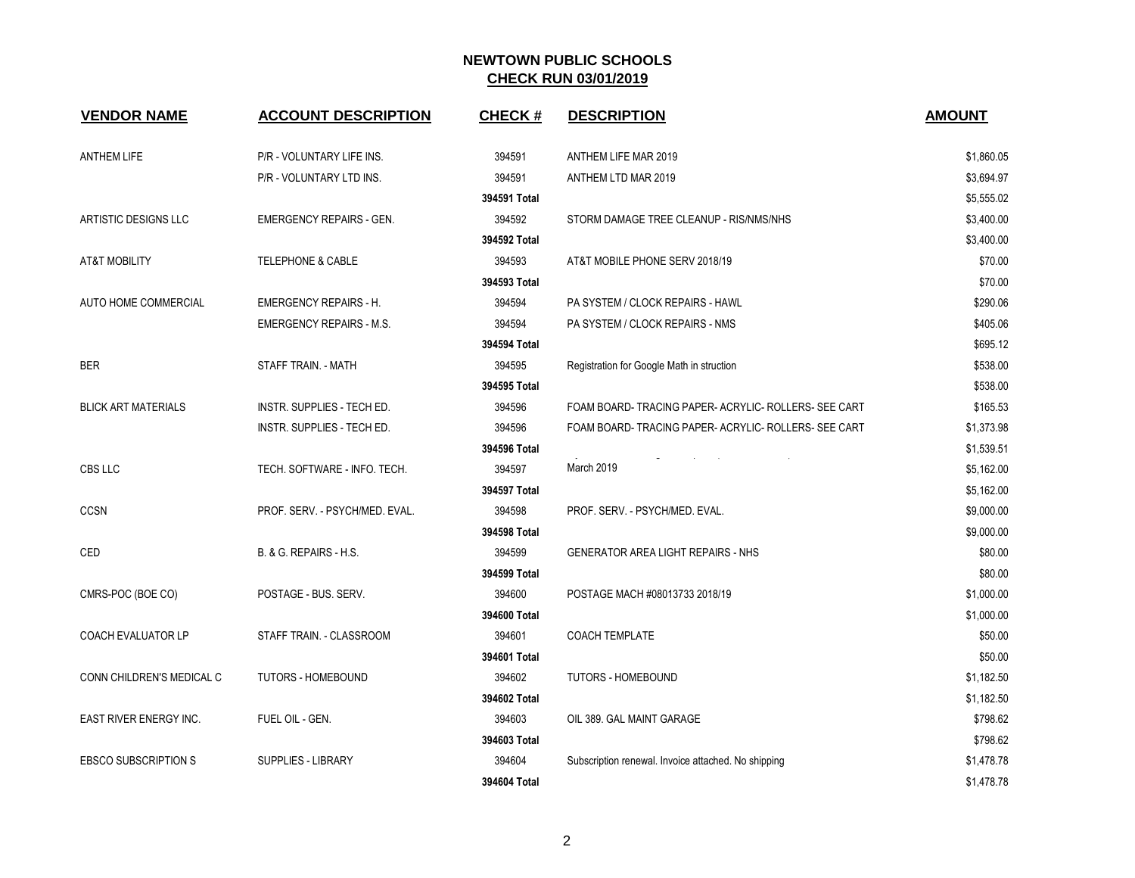| <b>VENDOR NAME</b>          | <b>ACCOUNT DESCRIPTION</b>      | <b>CHECK#</b> | <b>DESCRIPTION</b>                                  | <b>AMOUNT</b> |
|-----------------------------|---------------------------------|---------------|-----------------------------------------------------|---------------|
| <b>ANTHEM LIFE</b>          | P/R - VOLUNTARY LIFE INS.       | 394591        | ANTHEM LIFE MAR 2019                                | \$1,860.05    |
|                             | P/R - VOLUNTARY LTD INS.        | 394591        | ANTHEM LTD MAR 2019                                 | \$3,694.97    |
|                             |                                 | 394591 Total  |                                                     | \$5,555.02    |
| ARTISTIC DESIGNS LLC        | <b>EMERGENCY REPAIRS - GEN.</b> | 394592        | STORM DAMAGE TREE CLEANUP - RIS/NMS/NHS             | \$3,400.00    |
|                             |                                 | 394592 Total  |                                                     | \$3,400.00    |
| <b>AT&amp;T MOBILITY</b>    | <b>TELEPHONE &amp; CABLE</b>    | 394593        | AT&T MOBILE PHONE SERV 2018/19                      | \$70.00       |
|                             |                                 | 394593 Total  |                                                     | \$70.00       |
| AUTO HOME COMMERCIAL        | <b>EMERGENCY REPAIRS - H.</b>   | 394594        | PA SYSTEM / CLOCK REPAIRS - HAWL                    | \$290.06      |
|                             | <b>EMERGENCY REPAIRS - M.S.</b> | 394594        | PA SYSTEM / CLOCK REPAIRS - NMS                     | \$405.06      |
|                             |                                 | 394594 Total  |                                                     | \$695.12      |
| <b>BER</b>                  | STAFF TRAIN. - MATH             | 394595        | Registration for Google Math in struction           | \$538.00      |
|                             |                                 | 394595 Total  |                                                     | \$538.00      |
| <b>BLICK ART MATERIALS</b>  | INSTR. SUPPLIES - TECH ED.      | 394596        | FOAM BOARD-TRACING PAPER-ACRYLIC-ROLLERS-SEE CART   | \$165.53      |
|                             | INSTR. SUPPLIES - TECH ED.      | 394596        | FOAM BOARD-TRACING PAPER-ACRYLIC-ROLLERS-SEE CART   | \$1,373.98    |
|                             |                                 | 394596 Total  |                                                     | \$1,539.51    |
| CBS LLC                     | TECH. SOFTWARE - INFO. TECH.    | 394597        | March 2019                                          | \$5,162.00    |
|                             |                                 | 394597 Total  |                                                     | \$5,162.00    |
| <b>CCSN</b>                 | PROF. SERV. - PSYCH/MED. EVAL.  | 394598        | PROF. SERV. - PSYCH/MED. EVAL.                      | \$9,000.00    |
|                             |                                 | 394598 Total  |                                                     | \$9,000.00    |
| CED                         | B. & G. REPAIRS - H.S.          | 394599        | <b>GENERATOR AREA LIGHT REPAIRS - NHS</b>           | \$80.00       |
|                             |                                 | 394599 Total  |                                                     | \$80.00       |
| CMRS-POC (BOE CO)           | POSTAGE - BUS. SERV.            | 394600        | POSTAGE MACH #08013733 2018/19                      | \$1,000.00    |
|                             |                                 | 394600 Total  |                                                     | \$1,000.00    |
| <b>COACH EVALUATOR LP</b>   | STAFF TRAIN. - CLASSROOM        | 394601        | <b>COACH TEMPLATE</b>                               | \$50.00       |
|                             |                                 | 394601 Total  |                                                     | \$50.00       |
| CONN CHILDREN'S MEDICAL C   | TUTORS - HOMEBOUND              | 394602        | <b>TUTORS - HOMEBOUND</b>                           | \$1,182.50    |
|                             |                                 | 394602 Total  |                                                     | \$1,182.50    |
| EAST RIVER ENERGY INC.      | FUEL OIL - GEN.                 | 394603        | OIL 389. GAL MAINT GARAGE                           | \$798.62      |
|                             |                                 | 394603 Total  |                                                     | \$798.62      |
| <b>EBSCO SUBSCRIPTION S</b> | <b>SUPPLIES - LIBRARY</b>       | 394604        | Subscription renewal. Invoice attached. No shipping | \$1,478.78    |
|                             |                                 | 394604 Total  |                                                     | \$1,478.78    |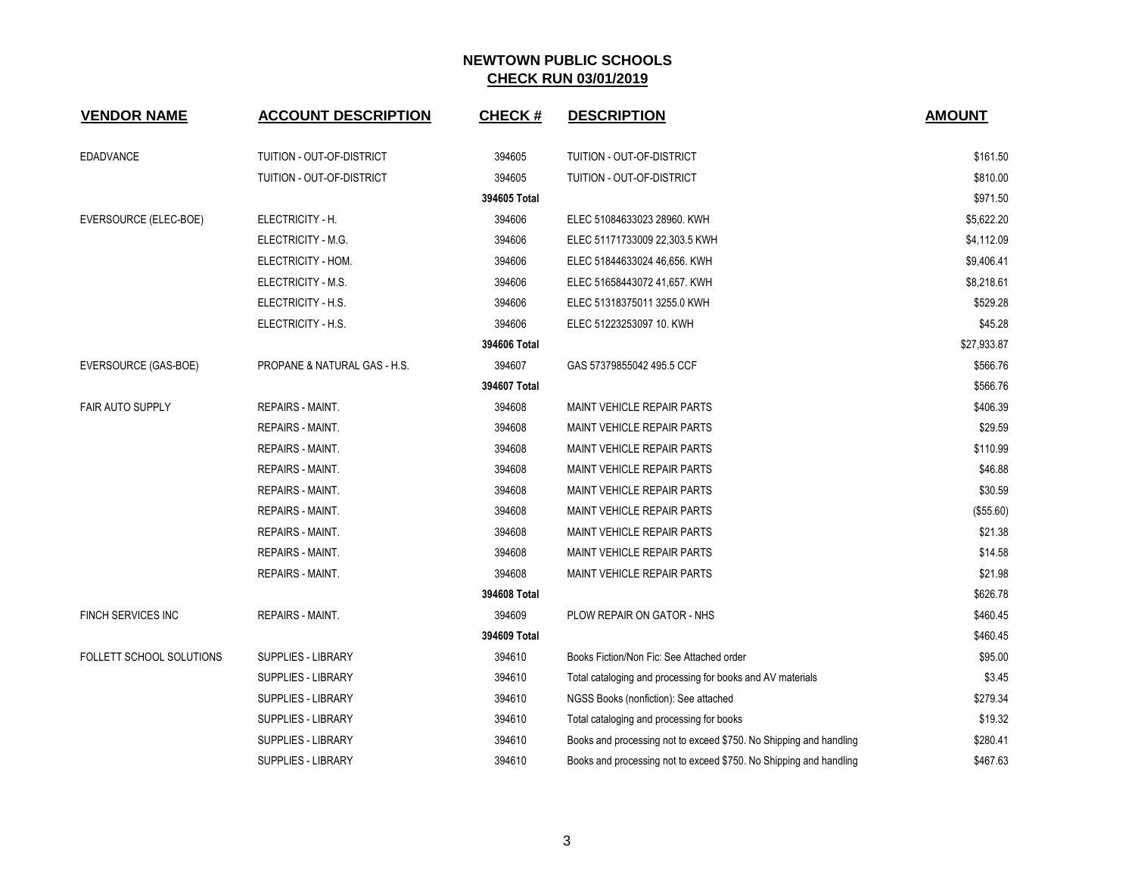| <b>VENDOR NAME</b>        | <b>ACCOUNT DESCRIPTION</b>   | <b>CHECK#</b> | <b>DESCRIPTION</b>                                                 | <b>AMOUNT</b> |
|---------------------------|------------------------------|---------------|--------------------------------------------------------------------|---------------|
|                           |                              |               |                                                                    |               |
| <b>EDADVANCE</b>          | TUITION - OUT-OF-DISTRICT    | 394605        | TUITION - OUT-OF-DISTRICT                                          | \$161.50      |
|                           | TUITION - OUT-OF-DISTRICT    | 394605        | TUITION - OUT-OF-DISTRICT                                          | \$810.00      |
|                           |                              | 394605 Total  |                                                                    | \$971.50      |
| EVERSOURCE (ELEC-BOE)     | ELECTRICITY - H.             | 394606        | ELEC 51084633023 28960. KWH                                        | \$5,622.20    |
|                           | ELECTRICITY - M.G.           | 394606        | ELEC 51171733009 22,303.5 KWH                                      | \$4,112.09    |
|                           | ELECTRICITY - HOM.           | 394606        | ELEC 51844633024 46,656. KWH                                       | \$9,406.41    |
|                           | ELECTRICITY - M.S.           | 394606        | ELEC 51658443072 41,657. KWH                                       | \$8,218.61    |
|                           | ELECTRICITY - H.S.           | 394606        | ELEC 51318375011 3255.0 KWH                                        | \$529.28      |
|                           | ELECTRICITY - H.S.           | 394606        | ELEC 51223253097 10. KWH                                           | \$45.28       |
|                           |                              | 394606 Total  |                                                                    | \$27,933.87   |
| EVERSOURCE (GAS-BOE)      | PROPANE & NATURAL GAS - H.S. | 394607        | GAS 57379855042 495.5 CCF                                          | \$566.76      |
|                           |                              | 394607 Total  |                                                                    | \$566.76      |
| <b>FAIR AUTO SUPPLY</b>   | REPAIRS - MAINT.             | 394608        | <b>MAINT VEHICLE REPAIR PARTS</b>                                  | \$406.39      |
|                           | REPAIRS - MAINT.             | 394608        | <b>MAINT VEHICLE REPAIR PARTS</b>                                  | \$29.59       |
|                           | REPAIRS - MAINT.             | 394608        | MAINT VEHICLE REPAIR PARTS                                         | \$110.99      |
|                           | REPAIRS - MAINT.             | 394608        | <b>MAINT VEHICLE REPAIR PARTS</b>                                  | \$46.88       |
|                           | REPAIRS - MAINT.             | 394608        | <b>MAINT VEHICLE REPAIR PARTS</b>                                  | \$30.59       |
|                           | REPAIRS - MAINT.             | 394608        | MAINT VEHICLE REPAIR PARTS                                         | (\$55.60)     |
|                           | <b>REPAIRS - MAINT.</b>      | 394608        | <b>MAINT VEHICLE REPAIR PARTS</b>                                  | \$21.38       |
|                           | REPAIRS - MAINT.             | 394608        | <b>MAINT VEHICLE REPAIR PARTS</b>                                  | \$14.58       |
|                           | REPAIRS - MAINT.             | 394608        | MAINT VEHICLE REPAIR PARTS                                         | \$21.98       |
|                           |                              | 394608 Total  |                                                                    | \$626.78      |
| <b>FINCH SERVICES INC</b> | <b>REPAIRS - MAINT.</b>      | 394609        | PLOW REPAIR ON GATOR - NHS                                         | \$460.45      |
|                           |                              | 394609 Total  |                                                                    | \$460.45      |
| FOLLETT SCHOOL SOLUTIONS  | <b>SUPPLIES - LIBRARY</b>    | 394610        | Books Fiction/Non Fic: See Attached order                          | \$95.00       |
|                           | <b>SUPPLIES - LIBRARY</b>    | 394610        | Total cataloging and processing for books and AV materials         | \$3.45        |
|                           | <b>SUPPLIES - LIBRARY</b>    | 394610        | NGSS Books (nonfiction): See attached                              | \$279.34      |
|                           | <b>SUPPLIES - LIBRARY</b>    | 394610        | Total cataloging and processing for books                          | \$19.32       |
|                           | <b>SUPPLIES - LIBRARY</b>    | 394610        | Books and processing not to exceed \$750. No Shipping and handling | \$280.41      |
|                           | <b>SUPPLIES - LIBRARY</b>    | 394610        | Books and processing not to exceed \$750. No Shipping and handling | \$467.63      |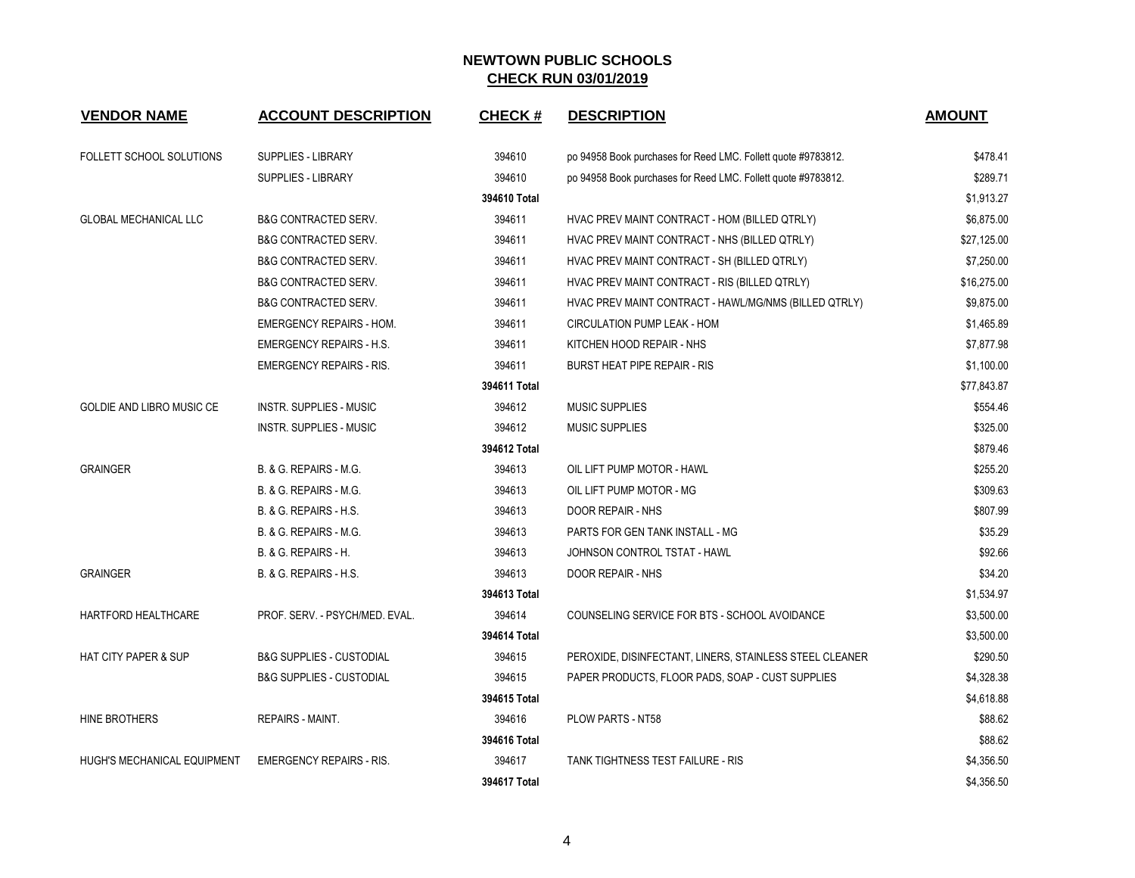| <b>VENDOR NAME</b>              | <b>ACCOUNT DESCRIPTION</b>          | <b>CHECK#</b> | <b>DESCRIPTION</b>                                            | <b>AMOUNT</b> |
|---------------------------------|-------------------------------------|---------------|---------------------------------------------------------------|---------------|
| FOLLETT SCHOOL SOLUTIONS        | SUPPLIES - LIBRARY                  | 394610        | po 94958 Book purchases for Reed LMC. Follett quote #9783812. | \$478.41      |
|                                 | SUPPLIES - LIBRARY                  | 394610        | po 94958 Book purchases for Reed LMC. Follett quote #9783812. | \$289.71      |
|                                 |                                     | 394610 Total  |                                                               | \$1,913.27    |
| <b>GLOBAL MECHANICAL LLC</b>    | <b>B&amp;G CONTRACTED SERV.</b>     | 394611        | HVAC PREV MAINT CONTRACT - HOM (BILLED QTRLY)                 | \$6,875.00    |
|                                 | <b>B&amp;G CONTRACTED SERV.</b>     | 394611        | HVAC PREV MAINT CONTRACT - NHS (BILLED QTRLY)                 | \$27,125.00   |
|                                 | <b>B&amp;G CONTRACTED SERV.</b>     | 394611        | HVAC PREV MAINT CONTRACT - SH (BILLED QTRLY)                  | \$7,250.00    |
|                                 | <b>B&amp;G CONTRACTED SERV.</b>     | 394611        | HVAC PREV MAINT CONTRACT - RIS (BILLED QTRLY)                 | \$16,275.00   |
|                                 | <b>B&amp;G CONTRACTED SERV.</b>     | 394611        | HVAC PREV MAINT CONTRACT - HAWL/MG/NMS (BILLED QTRLY)         | \$9,875.00    |
|                                 | <b>EMERGENCY REPAIRS - HOM.</b>     | 394611        | CIRCULATION PUMP LEAK - HOM                                   | \$1,465.89    |
|                                 | <b>EMERGENCY REPAIRS - H.S.</b>     | 394611        | KITCHEN HOOD REPAIR - NHS                                     | \$7,877.98    |
|                                 | <b>EMERGENCY REPAIRS - RIS.</b>     | 394611        | <b>BURST HEAT PIPE REPAIR - RIS</b>                           | \$1,100.00    |
|                                 |                                     | 394611 Total  |                                                               | \$77,843.87   |
| GOLDIE AND LIBRO MUSIC CE       | <b>INSTR. SUPPLIES - MUSIC</b>      | 394612        | MUSIC SUPPLIES                                                | \$554.46      |
|                                 | <b>INSTR. SUPPLIES - MUSIC</b>      | 394612        | <b>MUSIC SUPPLIES</b>                                         | \$325.00      |
|                                 |                                     | 394612 Total  |                                                               | \$879.46      |
| <b>GRAINGER</b>                 | <b>B. &amp; G. REPAIRS - M.G.</b>   | 394613        | OIL LIFT PUMP MOTOR - HAWL                                    | \$255.20      |
|                                 | B. & G. REPAIRS - M.G.              | 394613        | OIL LIFT PUMP MOTOR - MG                                      | \$309.63      |
|                                 | <b>B. &amp; G. REPAIRS - H.S.</b>   | 394613        | <b>DOOR REPAIR - NHS</b>                                      | \$807.99      |
|                                 | B. & G. REPAIRS - M.G.              | 394613        | PARTS FOR GEN TANK INSTALL - MG                               | \$35.29       |
|                                 | B. & G. REPAIRS - H.                | 394613        | JOHNSON CONTROL TSTAT - HAWL                                  | \$92.66       |
| <b>GRAINGER</b>                 | B. & G. REPAIRS - H.S.              | 394613        | DOOR REPAIR - NHS                                             | \$34.20       |
|                                 |                                     | 394613 Total  |                                                               | \$1,534.97    |
| HARTFORD HEALTHCARE             | PROF. SERV. - PSYCH/MED. EVAL.      | 394614        | COUNSELING SERVICE FOR BTS - SCHOOL AVOIDANCE                 | \$3,500.00    |
|                                 |                                     | 394614 Total  |                                                               | \$3,500.00    |
| <b>HAT CITY PAPER &amp; SUP</b> | <b>B&amp;G SUPPLIES - CUSTODIAL</b> | 394615        | PEROXIDE, DISINFECTANT, LINERS, STAINLESS STEEL CLEANER       | \$290.50      |
|                                 | <b>B&amp;G SUPPLIES - CUSTODIAL</b> | 394615        | PAPER PRODUCTS, FLOOR PADS, SOAP - CUST SUPPLIES              | \$4,328.38    |
|                                 |                                     | 394615 Total  |                                                               | \$4,618.88    |
| HINE BROTHERS                   | REPAIRS - MAINT.                    | 394616        | PLOW PARTS - NT58                                             | \$88.62       |
|                                 |                                     | 394616 Total  |                                                               | \$88.62       |
| HUGH'S MECHANICAL EQUIPMENT     | <b>EMERGENCY REPAIRS - RIS.</b>     | 394617        | TANK TIGHTNESS TEST FAILURE - RIS                             | \$4,356.50    |
|                                 |                                     | 394617 Total  |                                                               | \$4,356.50    |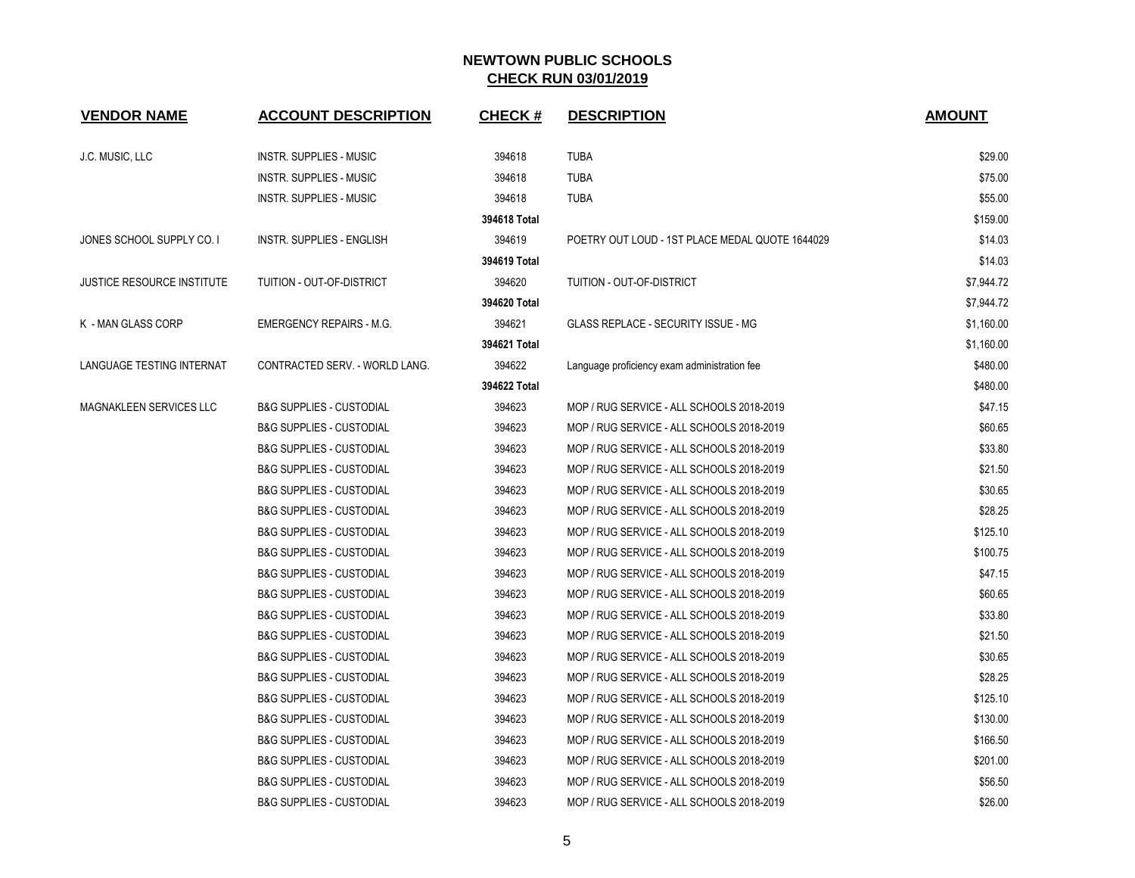| <b>VENDOR NAME</b>                | <b>ACCOUNT DESCRIPTION</b>          | <b>CHECK#</b> | <b>DESCRIPTION</b>                              | <b>AMOUNT</b> |
|-----------------------------------|-------------------------------------|---------------|-------------------------------------------------|---------------|
| J.C. MUSIC, LLC                   | <b>INSTR. SUPPLIES - MUSIC</b>      | 394618        | <b>TUBA</b>                                     | \$29.00       |
|                                   | <b>INSTR. SUPPLIES - MUSIC</b>      | 394618        | <b>TUBA</b>                                     | \$75.00       |
|                                   | <b>INSTR. SUPPLIES - MUSIC</b>      | 394618        | <b>TUBA</b>                                     | \$55.00       |
|                                   |                                     | 394618 Total  |                                                 | \$159.00      |
| JONES SCHOOL SUPPLY CO. I         | <b>INSTR. SUPPLIES - ENGLISH</b>    | 394619        | POETRY OUT LOUD - 1ST PLACE MEDAL QUOTE 1644029 | \$14.03       |
|                                   |                                     | 394619 Total  |                                                 | \$14.03       |
| <b>JUSTICE RESOURCE INSTITUTE</b> | TUITION - OUT-OF-DISTRICT           | 394620        | TUITION - OUT-OF-DISTRICT                       | \$7,944.72    |
|                                   |                                     | 394620 Total  |                                                 | \$7,944.72    |
| K - MAN GLASS CORP                | <b>EMERGENCY REPAIRS - M.G.</b>     | 394621        | GLASS REPLACE - SECURITY ISSUE - MG             | \$1,160.00    |
|                                   |                                     | 394621 Total  |                                                 | \$1,160.00    |
| LANGUAGE TESTING INTERNAT         | CONTRACTED SERV. - WORLD LANG.      | 394622        | Language proficiency exam administration fee    | \$480.00      |
|                                   |                                     | 394622 Total  |                                                 | \$480.00      |
| MAGNAKLEEN SERVICES LLC           | <b>B&amp;G SUPPLIES - CUSTODIAL</b> | 394623        | MOP / RUG SERVICE - ALL SCHOOLS 2018-2019       | \$47.15       |
|                                   | <b>B&amp;G SUPPLIES - CUSTODIAL</b> | 394623        | MOP / RUG SERVICE - ALL SCHOOLS 2018-2019       | \$60.65       |
|                                   | <b>B&amp;G SUPPLIES - CUSTODIAL</b> | 394623        | MOP / RUG SERVICE - ALL SCHOOLS 2018-2019       | \$33.80       |
|                                   | <b>B&amp;G SUPPLIES - CUSTODIAL</b> | 394623        | MOP / RUG SERVICE - ALL SCHOOLS 2018-2019       | \$21.50       |
|                                   | <b>B&amp;G SUPPLIES - CUSTODIAL</b> | 394623        | MOP / RUG SERVICE - ALL SCHOOLS 2018-2019       | \$30.65       |
|                                   | <b>B&amp;G SUPPLIES - CUSTODIAL</b> | 394623        | MOP / RUG SERVICE - ALL SCHOOLS 2018-2019       | \$28.25       |
|                                   | <b>B&amp;G SUPPLIES - CUSTODIAL</b> | 394623        | MOP / RUG SERVICE - ALL SCHOOLS 2018-2019       | \$125.10      |
|                                   | <b>B&amp;G SUPPLIES - CUSTODIAL</b> | 394623        | MOP / RUG SERVICE - ALL SCHOOLS 2018-2019       | \$100.75      |
|                                   | <b>B&amp;G SUPPLIES - CUSTODIAL</b> | 394623        | MOP / RUG SERVICE - ALL SCHOOLS 2018-2019       | \$47.15       |
|                                   | <b>B&amp;G SUPPLIES - CUSTODIAL</b> | 394623        | MOP / RUG SERVICE - ALL SCHOOLS 2018-2019       | \$60.65       |
|                                   | <b>B&amp;G SUPPLIES - CUSTODIAL</b> | 394623        | MOP / RUG SERVICE - ALL SCHOOLS 2018-2019       | \$33.80       |
|                                   | <b>B&amp;G SUPPLIES - CUSTODIAL</b> | 394623        | MOP / RUG SERVICE - ALL SCHOOLS 2018-2019       | \$21.50       |
|                                   | <b>B&amp;G SUPPLIES - CUSTODIAL</b> | 394623        | MOP / RUG SERVICE - ALL SCHOOLS 2018-2019       | \$30.65       |
|                                   | <b>B&amp;G SUPPLIES - CUSTODIAL</b> | 394623        | MOP / RUG SERVICE - ALL SCHOOLS 2018-2019       | \$28.25       |
|                                   | <b>B&amp;G SUPPLIES - CUSTODIAL</b> | 394623        | MOP / RUG SERVICE - ALL SCHOOLS 2018-2019       | \$125.10      |
|                                   | <b>B&amp;G SUPPLIES - CUSTODIAL</b> | 394623        | MOP / RUG SERVICE - ALL SCHOOLS 2018-2019       | \$130.00      |
|                                   | <b>B&amp;G SUPPLIES - CUSTODIAL</b> | 394623        | MOP / RUG SERVICE - ALL SCHOOLS 2018-2019       | \$166.50      |
|                                   | <b>B&amp;G SUPPLIES - CUSTODIAL</b> | 394623        | MOP / RUG SERVICE - ALL SCHOOLS 2018-2019       | \$201.00      |
|                                   | <b>B&amp;G SUPPLIES - CUSTODIAL</b> | 394623        | MOP / RUG SERVICE - ALL SCHOOLS 2018-2019       | \$56.50       |
|                                   | <b>B&amp;G SUPPLIES - CUSTODIAL</b> | 394623        | MOP / RUG SERVICE - ALL SCHOOLS 2018-2019       | \$26.00       |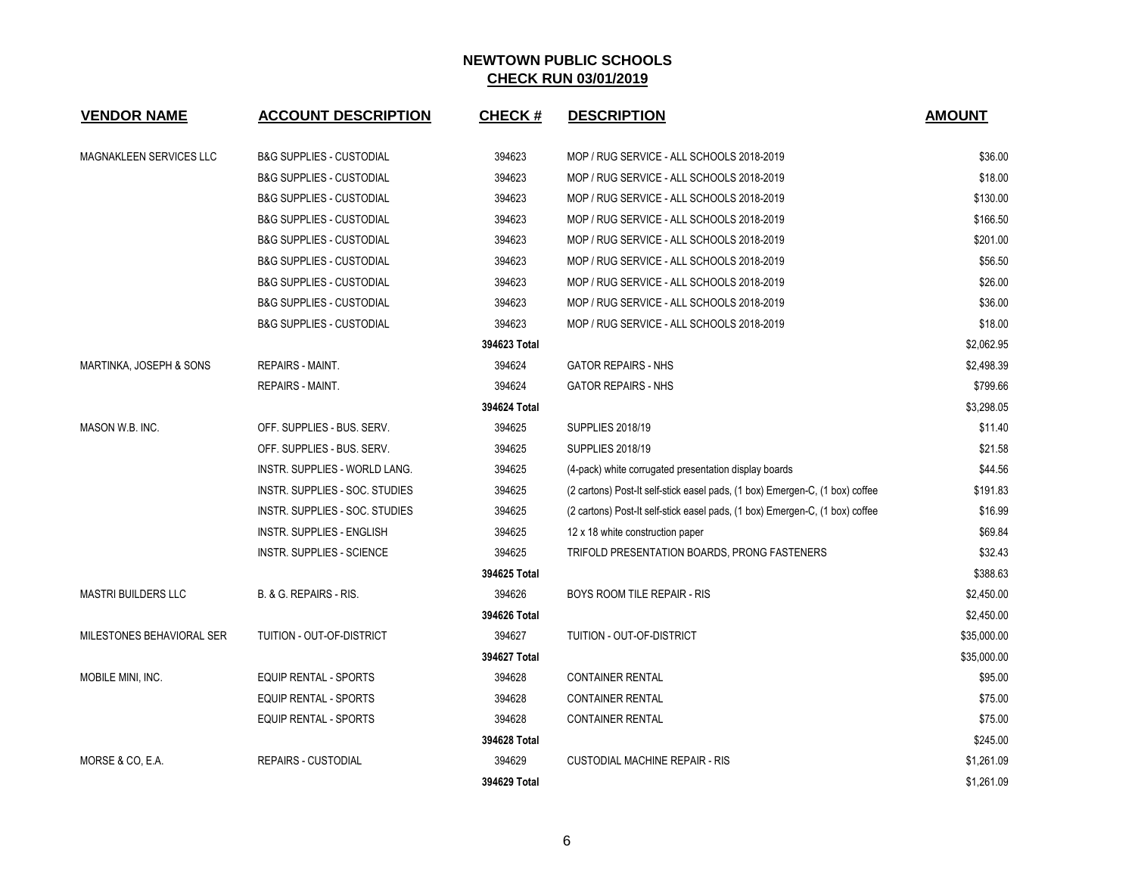| <b>VENDOR NAME</b>         | <b>ACCOUNT DESCRIPTION</b>          | <b>CHECK#</b> | <b>DESCRIPTION</b>                                                           | <b>AMOUNT</b> |
|----------------------------|-------------------------------------|---------------|------------------------------------------------------------------------------|---------------|
| MAGNAKLEEN SERVICES LLC    | <b>B&amp;G SUPPLIES - CUSTODIAL</b> | 394623        | MOP / RUG SERVICE - ALL SCHOOLS 2018-2019                                    | \$36.00       |
|                            | <b>B&amp;G SUPPLIES - CUSTODIAL</b> | 394623        | MOP / RUG SERVICE - ALL SCHOOLS 2018-2019                                    | \$18.00       |
|                            | <b>B&amp;G SUPPLIES - CUSTODIAL</b> | 394623        | MOP / RUG SERVICE - ALL SCHOOLS 2018-2019                                    | \$130.00      |
|                            | <b>B&amp;G SUPPLIES - CUSTODIAL</b> | 394623        | MOP / RUG SERVICE - ALL SCHOOLS 2018-2019                                    | \$166.50      |
|                            | <b>B&amp;G SUPPLIES - CUSTODIAL</b> | 394623        | MOP / RUG SERVICE - ALL SCHOOLS 2018-2019                                    | \$201.00      |
|                            | <b>B&amp;G SUPPLIES - CUSTODIAL</b> | 394623        | MOP / RUG SERVICE - ALL SCHOOLS 2018-2019                                    | \$56.50       |
|                            | <b>B&amp;G SUPPLIES - CUSTODIAL</b> | 394623        | MOP / RUG SERVICE - ALL SCHOOLS 2018-2019                                    | \$26.00       |
|                            | <b>B&amp;G SUPPLIES - CUSTODIAL</b> | 394623        | MOP / RUG SERVICE - ALL SCHOOLS 2018-2019                                    | \$36.00       |
|                            | <b>B&amp;G SUPPLIES - CUSTODIAL</b> | 394623        | MOP / RUG SERVICE - ALL SCHOOLS 2018-2019                                    | \$18.00       |
|                            |                                     | 394623 Total  |                                                                              | \$2,062.95    |
| MARTINKA, JOSEPH & SONS    | <b>REPAIRS - MAINT.</b>             | 394624        | <b>GATOR REPAIRS - NHS</b>                                                   | \$2,498.39    |
|                            | <b>REPAIRS - MAINT.</b>             | 394624        | <b>GATOR REPAIRS - NHS</b>                                                   | \$799.66      |
|                            |                                     | 394624 Total  |                                                                              | \$3,298.05    |
| MASON W.B. INC.            | OFF. SUPPLIES - BUS. SERV.          | 394625        | <b>SUPPLIES 2018/19</b>                                                      | \$11.40       |
|                            | OFF. SUPPLIES - BUS. SERV.          | 394625        | <b>SUPPLIES 2018/19</b>                                                      | \$21.58       |
|                            | INSTR. SUPPLIES - WORLD LANG.       | 394625        | (4-pack) white corrugated presentation display boards                        | \$44.56       |
|                            | INSTR. SUPPLIES - SOC. STUDIES      | 394625        | (2 cartons) Post-It self-stick easel pads, (1 box) Emergen-C, (1 box) coffee | \$191.83      |
|                            | INSTR. SUPPLIES - SOC. STUDIES      | 394625        | (2 cartons) Post-It self-stick easel pads, (1 box) Emergen-C, (1 box) coffee | \$16.99       |
|                            | <b>INSTR. SUPPLIES - ENGLISH</b>    | 394625        | 12 x 18 white construction paper                                             | \$69.84       |
|                            | <b>INSTR. SUPPLIES - SCIENCE</b>    | 394625        | TRIFOLD PRESENTATION BOARDS, PRONG FASTENERS                                 | \$32.43       |
|                            |                                     | 394625 Total  |                                                                              | \$388.63      |
| <b>MASTRI BUILDERS LLC</b> | B. & G. REPAIRS - RIS.              | 394626        | BOYS ROOM TILE REPAIR - RIS                                                  | \$2,450.00    |
|                            |                                     | 394626 Total  |                                                                              | \$2,450.00    |
| MILESTONES BEHAVIORAL SER  | TUITION - OUT-OF-DISTRICT           | 394627        | TUITION - OUT-OF-DISTRICT                                                    | \$35,000.00   |
|                            |                                     | 394627 Total  |                                                                              | \$35,000.00   |
| MOBILE MINI, INC.          | <b>EQUIP RENTAL - SPORTS</b>        | 394628        | <b>CONTAINER RENTAL</b>                                                      | \$95.00       |
|                            | EQUIP RENTAL - SPORTS               | 394628        | <b>CONTAINER RENTAL</b>                                                      | \$75.00       |
|                            | EQUIP RENTAL - SPORTS               | 394628        | <b>CONTAINER RENTAL</b>                                                      | \$75.00       |
|                            |                                     | 394628 Total  |                                                                              | \$245.00      |
| MORSE & CO, E.A.           | <b>REPAIRS - CUSTODIAL</b>          | 394629        | <b>CUSTODIAL MACHINE REPAIR - RIS</b>                                        | \$1,261.09    |
|                            |                                     | 394629 Total  |                                                                              | \$1,261.09    |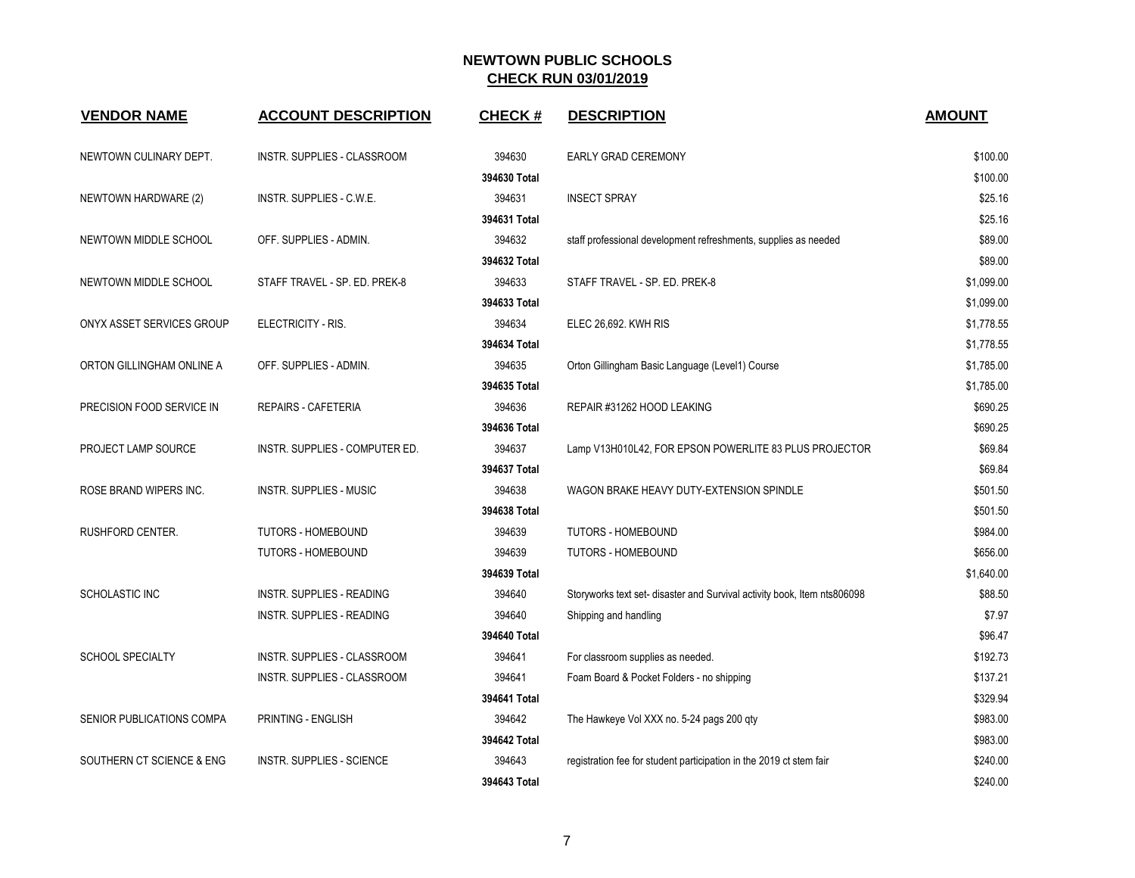| <b>VENDOR NAME</b>        | <b>ACCOUNT DESCRIPTION</b>         | <b>CHECK#</b> | <b>DESCRIPTION</b>                                                       | <b>AMOUNT</b> |
|---------------------------|------------------------------------|---------------|--------------------------------------------------------------------------|---------------|
| NEWTOWN CULINARY DEPT.    | INSTR. SUPPLIES - CLASSROOM        | 394630        | EARLY GRAD CEREMONY                                                      | \$100.00      |
|                           |                                    | 394630 Total  |                                                                          | \$100.00      |
| NEWTOWN HARDWARE (2)      | INSTR. SUPPLIES - C.W.E.           | 394631        | <b>INSECT SPRAY</b>                                                      | \$25.16       |
|                           |                                    | 394631 Total  |                                                                          | \$25.16       |
| NEWTOWN MIDDLE SCHOOL     | OFF. SUPPLIES - ADMIN.             | 394632        | staff professional development refreshments, supplies as needed          | \$89.00       |
|                           |                                    | 394632 Total  |                                                                          | \$89.00       |
| NEWTOWN MIDDLE SCHOOL     | STAFF TRAVEL - SP. ED. PREK-8      | 394633        | STAFF TRAVEL - SP. ED. PREK-8                                            | \$1,099.00    |
|                           |                                    | 394633 Total  |                                                                          | \$1,099.00    |
| ONYX ASSET SERVICES GROUP | ELECTRICITY - RIS.                 | 394634        | ELEC 26,692. KWH RIS                                                     | \$1,778.55    |
|                           |                                    | 394634 Total  |                                                                          | \$1,778.55    |
| ORTON GILLINGHAM ONLINE A | OFF. SUPPLIES - ADMIN.             | 394635        | Orton Gillingham Basic Language (Level1) Course                          | \$1,785.00    |
|                           |                                    | 394635 Total  |                                                                          | \$1,785.00    |
| PRECISION FOOD SERVICE IN | <b>REPAIRS - CAFETERIA</b>         | 394636        | REPAIR #31262 HOOD LEAKING                                               | \$690.25      |
|                           |                                    | 394636 Total  |                                                                          | \$690.25      |
| PROJECT LAMP SOURCE       | INSTR. SUPPLIES - COMPUTER ED.     | 394637        | Lamp V13H010L42, FOR EPSON POWERLITE 83 PLUS PROJECTOR                   | \$69.84       |
|                           |                                    | 394637 Total  |                                                                          | \$69.84       |
| ROSE BRAND WIPERS INC.    | <b>INSTR. SUPPLIES - MUSIC</b>     | 394638        | WAGON BRAKE HEAVY DUTY-EXTENSION SPINDLE                                 | \$501.50      |
|                           |                                    | 394638 Total  |                                                                          | \$501.50      |
| RUSHFORD CENTER.          | <b>TUTORS - HOMEBOUND</b>          | 394639        | <b>TUTORS - HOMEBOUND</b>                                                | \$984.00      |
|                           | <b>TUTORS - HOMEBOUND</b>          | 394639        | <b>TUTORS - HOMEBOUND</b>                                                | \$656.00      |
|                           |                                    | 394639 Total  |                                                                          | \$1,640.00    |
| SCHOLASTIC INC            | <b>INSTR. SUPPLIES - READING</b>   | 394640        | Storyworks text set- disaster and Survival activity book, Item nts806098 | \$88.50       |
|                           | <b>INSTR. SUPPLIES - READING</b>   | 394640        | Shipping and handling                                                    | \$7.97        |
|                           |                                    | 394640 Total  |                                                                          | \$96.47       |
| <b>SCHOOL SPECIALTY</b>   | INSTR. SUPPLIES - CLASSROOM        | 394641        | For classroom supplies as needed.                                        | \$192.73      |
|                           | <b>INSTR. SUPPLIES - CLASSROOM</b> | 394641        | Foam Board & Pocket Folders - no shipping                                | \$137.21      |
|                           |                                    | 394641 Total  |                                                                          | \$329.94      |
| SENIOR PUBLICATIONS COMPA | PRINTING - ENGLISH                 | 394642        | The Hawkeye Vol XXX no. 5-24 pags 200 qty                                | \$983.00      |
|                           |                                    | 394642 Total  |                                                                          | \$983.00      |
| SOUTHERN CT SCIENCE & ENG | <b>INSTR. SUPPLIES - SCIENCE</b>   | 394643        | registration fee for student participation in the 2019 ct stem fair      | \$240.00      |
|                           |                                    | 394643 Total  |                                                                          | \$240.00      |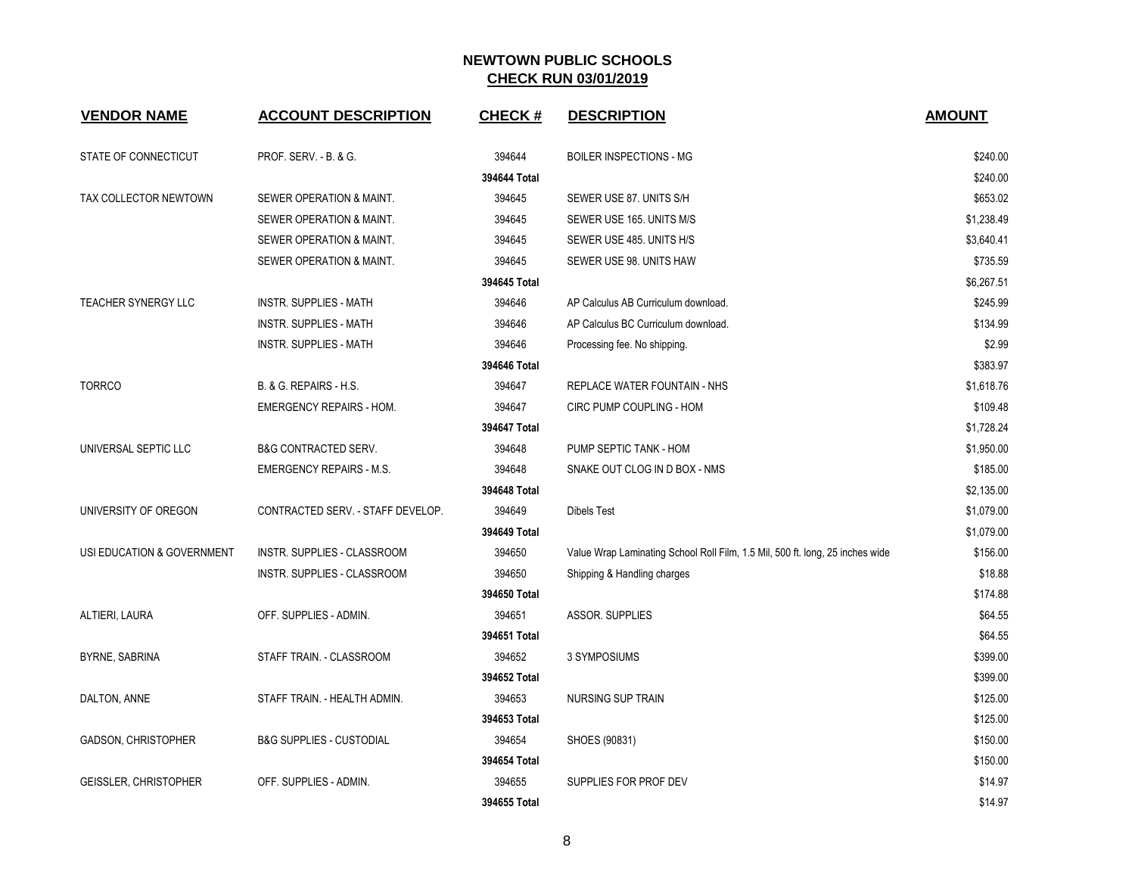| <b>VENDOR NAME</b>         | <b>ACCOUNT DESCRIPTION</b>          | <b>CHECK#</b> | <b>DESCRIPTION</b>                                                            | <b>AMOUNT</b> |
|----------------------------|-------------------------------------|---------------|-------------------------------------------------------------------------------|---------------|
| STATE OF CONNECTICUT       | PROF. SERV. - B. & G.               | 394644        | <b>BOILER INSPECTIONS - MG</b>                                                | \$240.00      |
|                            |                                     | 394644 Total  |                                                                               | \$240.00      |
| TAX COLLECTOR NEWTOWN      | SEWER OPERATION & MAINT.            | 394645        | SEWER USE 87. UNITS S/H                                                       | \$653.02      |
|                            | SEWER OPERATION & MAINT.            | 394645        | SEWER USE 165. UNITS M/S                                                      | \$1,238.49    |
|                            | SEWER OPERATION & MAINT.            | 394645        | SEWER USE 485. UNITS H/S                                                      | \$3,640.41    |
|                            | SEWER OPERATION & MAINT.            | 394645        | SEWER USE 98. UNITS HAW                                                       | \$735.59      |
|                            |                                     | 394645 Total  |                                                                               | \$6,267.51    |
| TEACHER SYNERGY LLC        | <b>INSTR. SUPPLIES - MATH</b>       | 394646        | AP Calculus AB Curriculum download.                                           | \$245.99      |
|                            | INSTR. SUPPLIES - MATH              | 394646        | AP Calculus BC Curriculum download.                                           | \$134.99      |
|                            | <b>INSTR. SUPPLIES - MATH</b>       | 394646        | Processing fee. No shipping.                                                  | \$2.99        |
|                            |                                     | 394646 Total  |                                                                               | \$383.97      |
| <b>TORRCO</b>              | B. & G. REPAIRS - H.S.              | 394647        | <b>REPLACE WATER FOUNTAIN - NHS</b>                                           | \$1,618.76    |
|                            | <b>EMERGENCY REPAIRS - HOM.</b>     | 394647        | CIRC PUMP COUPLING - HOM                                                      | \$109.48      |
|                            |                                     | 394647 Total  |                                                                               | \$1,728.24    |
| UNIVERSAL SEPTIC LLC       | <b>B&amp;G CONTRACTED SERV.</b>     | 394648        | PUMP SEPTIC TANK - HOM                                                        | \$1,950.00    |
|                            | <b>EMERGENCY REPAIRS - M.S.</b>     | 394648        | SNAKE OUT CLOG IN D BOX - NMS                                                 | \$185.00      |
|                            |                                     | 394648 Total  |                                                                               | \$2,135.00    |
| UNIVERSITY OF OREGON       | CONTRACTED SERV. - STAFF DEVELOP.   | 394649        | <b>Dibels Test</b>                                                            | \$1,079.00    |
|                            |                                     | 394649 Total  |                                                                               | \$1,079.00    |
| USI EDUCATION & GOVERNMENT | <b>INSTR. SUPPLIES - CLASSROOM</b>  | 394650        | Value Wrap Laminating School Roll Film, 1.5 Mil, 500 ft. long, 25 inches wide | \$156.00      |
|                            | INSTR. SUPPLIES - CLASSROOM         | 394650        | Shipping & Handling charges                                                   | \$18.88       |
|                            |                                     | 394650 Total  |                                                                               | \$174.88      |
| ALTIERI, LAURA             | OFF. SUPPLIES - ADMIN.              | 394651        | ASSOR. SUPPLIES                                                               | \$64.55       |
|                            |                                     | 394651 Total  |                                                                               | \$64.55       |
| BYRNE, SABRINA             | STAFF TRAIN. - CLASSROOM            | 394652        | 3 SYMPOSIUMS                                                                  | \$399.00      |
|                            |                                     | 394652 Total  |                                                                               | \$399.00      |
| DALTON, ANNE               | STAFF TRAIN. - HEALTH ADMIN.        | 394653        | NURSING SUP TRAIN                                                             | \$125.00      |
|                            |                                     | 394653 Total  |                                                                               | \$125.00      |
| GADSON, CHRISTOPHER        | <b>B&amp;G SUPPLIES - CUSTODIAL</b> | 394654        | SHOES (90831)                                                                 | \$150.00      |
|                            |                                     | 394654 Total  |                                                                               | \$150.00      |
| GEISSLER, CHRISTOPHER      | OFF. SUPPLIES - ADMIN.              | 394655        | SUPPLIES FOR PROF DEV                                                         | \$14.97       |
|                            |                                     | 394655 Total  |                                                                               | \$14.97       |